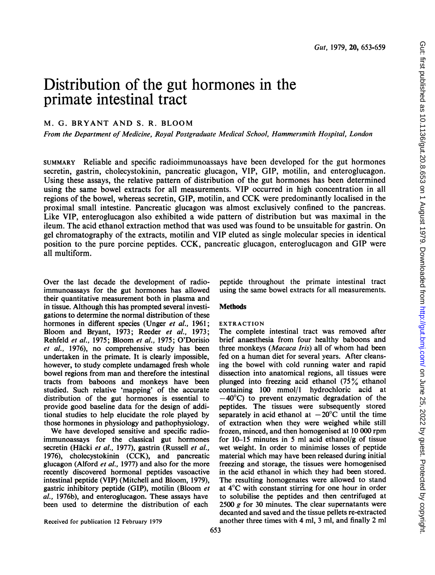# Distribution of the gut hormones in the primate intestinal tract

M. G. BRYANT AND S. R. BLOOM

From the Department of Medicine, Royal Postgraduate Medical School, Hammersmith Hospital, London

SUMMARY Reliable and specific radioimmunoassays have been developed for the gut hormones secretin, gastrin, cholecystokinin, pancreatic glucagon, VIP, GIP, motilin, and enteroglucagon. Using these assays, the relative pattern of distribution of the gut hormones has been determined using the same bowel extracts for all measurements. VIP occurred in high concentration in all regions of the bowel, whereas secretin, GIP, motilin, and CCK were predominantly localised in the proximal small intestine. Pancreatic glucagon was almost exclusively confined to the pancreas. Like VIP, enteroglucagon also exhibited a wide pattern of distribution but was maximal in the ileum. The acid ethanol extraction method that was used was found to be unsuitable for gastrin. On gel chromatography of the extracts, motilin and VIP eluted as single molecular species in identical position to the pure porcine peptides. CCK, pancreatic glucagon, enteroglucagon and GIP were all multiform.

Over the last decade the development of radioimmunoassays for the gut hormones has allowed their quantitative measurement both in plasma and in tissue. Although this has prompted several investigations to determine the normal distribution of these hormones in different species (Unger et al., 1961; Bloom and Bryant, 1973; Reeder et al., 1973; Rehfeld et al., 1975; Bloom et al., 1975; O'Dorisio et al., 1976), no comprehensive study has been undertaken in the primate. It is clearly impossible, however, to study complete undamaged fresh whole bowel regions from man and therefore the intestinal tracts from baboons and monkeys have been studied. Such relative 'mapping' of the accurate distribution of the gut hormones is essential to provide good baseline data for the design of additional studies to help elucidate the role played by those hormones in physiology and pathophysiology.

We have developed sensitive and specific radioimmunoassays for the classical gut hormones secretin (Häcki et al., 1977), gastrin (Russell et al., 1976), cholecystokinin (CCK), and pancreatic glucagon (Alford et al., 1977) and also for the more recently discovered hormonal peptides vasoactive intestinal peptide (VIP) (Mitchell and Bloom, 1979), gastric inhibitory peptide (GIP), motilin (Bloom et al., 1976b), and enteroglucagon. These assays have been used to determine the distribution of each

peptide throughout the primate intestinal tract using the same bowel extracts for all measurements.

# **Methods**

## EXTRACTION

The complete intestinal tract was removed after brief anaesthesia from four healthy baboons and three monkeys (Macaca Iris) all of whom had been fed on a human diet for several years. After cleansing the bowel with cold running water and rapid dissection into anatomical regions, all tissues were plunged into freezing acid ethanol (75% ethanol containing 100 mmol/l hydrochloric acid at  $-40^{\circ}$ C) to prevent enzymatic degradation of the peptides. The tissues were subsequently stored separately in acid ethanol at  $-20^{\circ}$ C until the time of extraction when they were weighed while still frozen, minced, and then homogenised at 10 000 rpm for 10-15 minutes in 5 ml acid ethanol/g of tissue wet weight. In order to minimise losses of peptide material which may have been released during initial freezing and storage, the tissues were homogenised in the acid ethanol in which they had been stored. The resulting homogenates were allowed to stand at 4°C with constant stirring for one hour in order to solubilise the peptides and then centrifuged at 2500  $\epsilon$  for 30 minutes. The clear supernatants were decanted and saved and the tissue pellets re-extracted another three times with 4 ml, <sup>3</sup> ml, and finally 2 ml

Received for publication 12 February 1979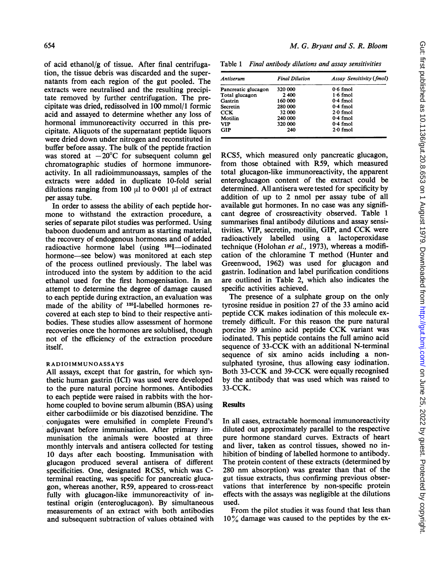of acid ethanol/g of tissue. After final centrifugation, the tissue debris was discarded and the supernatants from each region of the gut pooled. The extracts were neutralised and the resulting precipitate removed by further centrifugation. The precipitate was dried, redissolved in 100 mmol/1 formic acid and assayed to determine whether any loss of hormonal immunoreactivity occurred in this precipitate. Aliquots of the supernatant peptide liquors were dried down uhder nitrogen and reconstituted in buffer before assay. The bulk of the peptide fraction was stored at  $-20^{\circ}$ C for subsequent column gel chromatographic studies of hormone immunoreactivity. In all radioimmunoassays, samples of the extracts were added in duplicate 10-fold serial dilutions ranging from 100  $\mu$ l to 0.001  $\mu$ l of extract per assay tube.

In order to assess the ability of each peptide hormone to withstand the extraction procedure, a series of separate pilot studies was performed. Using baboon duodenum and antrum as starting material, the recovery of endogenous hormones and of added radioactive hormone label (using <sup>125</sup>I-iodinated hormone-see below) was monitored at each step of the process outlined previously. The label was introduced into the system by addition to the acid ethanol used for the first homogenisation. In an attempt to determine the degree of damage caused to each peptide during extraction, an evaluation was made of the ability of 125I-labelled hormones recovered at each step to bind to their respective antibodies. These studies allow assessment of hormone recoveries once the hormones are solublised, though not of the efficiency of the extraction procedure itself.

#### RADIOIMMUNOASSAYS

All assays, except that for gastrin, for which synthetic human gastrin (ICI) was used were developed to the pure natural porcine hormones. Antibodies to each peptide were raised in rabbits with the horhome coupled to bovine serum albumin (BSA) using either carbodiimide or bis diazotised benzidine. The conjugates were emulsified in complete Freund's adjuvant before immunisation. After primary immunisation the animals were boosted at three monthly intervals and antisera collected for testing 10 days after each boosting. Immunisation with glucagon produced several antisera of different specificities. One, designated RCS5, which was Cterminal reacting, was specific for pancreatic glucagon, whereas another, R59, appeared to cross-react fully with glucagon-like immunoreactivity of intestinal origin (enteroglucagon). By simultaneous measurements of an extract with both antibodies and subsequent subtraction of values obtained with

Table <sup>1</sup> Final antibody dilutions and assay sensitivities

| Antiserum           | <b>Final Dilution</b> | Assay Sensitivity (fmol) |
|---------------------|-----------------------|--------------------------|
| Pancreatic glucagon | 320 000               | $0.6$ fmol               |
| Total glucagon      | 2400                  | $1.6$ fmol               |
| Gastrin             | 160 000               | $0.4$ fmol               |
| Secretin            | 280 000               | $0.4$ fmol               |
| <b>CCK</b>          | 32 000                | $2.0$ fmol               |
| Motilin             | 240 000               | $0.4$ fmol               |
| <b>VIP</b>          | 320 000               | $0.4$ fmol               |
| GIP                 | 240                   | $2.0$ fmol               |

RCS5, which measured only pancreatic glucagon, from those obtained with R59, which measured total glucagon-like immunoreactivity, the apparent enteroglucagon content of the extract could be determined. All antisera were tested for specificity by addition of up to 2 nmol per assay tube of all available gut hormones. In no case was any significant degree of crossreactivity observed. Table <sup>1</sup> summarises final antibody dilutions and assay sensitivities. VIP, secretin, motilin, GIP, and CCK were radioactively labelled using a lactoperoxidase technique (Holohan et al., 1973), whereas a modification of the chloramine T method (Hunter and Greenwood, 1962) was used for glucagon and gastrin. lodination and label purification conditions are outlined in Table 2, which also indicates the specific activities achieved.

The presence of a sulphate group on the only tyrosine residue in position 27 of the 33 amino acid peptide CCK makes iodination of this molecule extremely difficult. For this reason the pure natural porcine <sup>39</sup> amino acid peptide CCK variant was iodinated. This peptide contains the full amino acid sequence of 33-CCK with an additional N-terminal sequence of six amino acids including a nonsulphated tyrosine, thus allowing easy iodination. Both 33-CCK and 39-CCK were equally recognised by the antibody that was used which was raised to 33-CCK.

## **Results**

In all cases, extractable hormonal immunoreactivity diluted out approximately parallel to the respective pure hormone standard curves. Extracts of heart and liver, taken as control tissues, showed no inhibition of binding of labelled hormone to antibody. The protein content of these extracts (determined by 280 nm absorption) was greater than that of the gut tissue extracts, thus confirming previous observations that interference by non-specific protein effects with the assays was negligible at the dilutions used.

From the pilot studies it was found that less than  $10\%$  damage was caused to the peptides by the ex-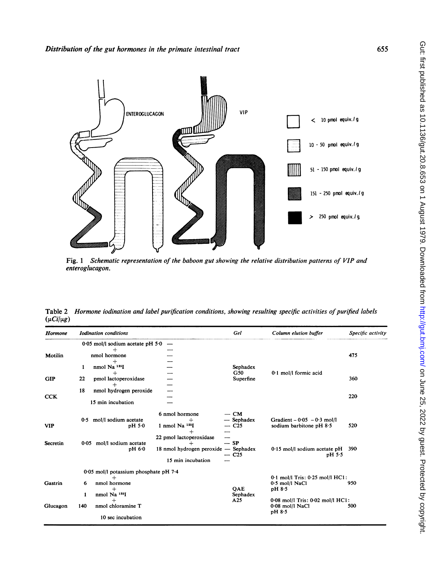

Fig. <sup>1</sup> Schematic representation of the baboon gut showing the relative distribution patterns of VIP and enteroglucagon.

Table 2 Hormone iodination and label purification conditions, showing resulting specific activities of purified labels  $(\mu Ci/\mu g)$ 

| Hormone    | <b>Iodination</b> conditions          |                                      | Gel                 | Column elution buffer            | Specific activity |
|------------|---------------------------------------|--------------------------------------|---------------------|----------------------------------|-------------------|
|            | 0.05 mol/l sodium acetate pH 5.0      |                                      |                     |                                  |                   |
|            | $\pm$                                 |                                      |                     |                                  |                   |
| Motilin    | nmol hormone                          |                                      |                     |                                  | 475               |
|            | $^{+}$                                |                                      |                     |                                  |                   |
|            | nmol Na 125I<br>1                     |                                      | Sephadex<br>G50     |                                  |                   |
| <b>GIP</b> | $^{+}$<br>22<br>pmol lactoperoxidase  |                                      | Superfine           | 0.1 mol/l formic acid            | 360               |
|            | $\div$                                |                                      |                     |                                  |                   |
|            | 18<br>nmol hydrogen peroxide          |                                      |                     |                                  |                   |
| <b>CCK</b> |                                       |                                      |                     |                                  | 220               |
|            | 15 min incubation                     |                                      |                     |                                  |                   |
|            |                                       | 6 nmol hormone                       | $-$ CM              |                                  |                   |
|            | $0.5 \mod l$ sodium acetate           |                                      | - Sephadex          | Gradient $-0.05 - 0.3$ mol/l     |                   |
| <b>VIP</b> | pH 50                                 | 1 nmol Na 125I                       | $-$ C <sub>25</sub> | sodium barbitone pH $8.5$        | 520               |
|            |                                       | $^{+}$                               |                     |                                  |                   |
|            | 0.05 mol/l sodium acetate             | 22 pmol lactoperoxidase              | $-$ SP              |                                  |                   |
| Secretin   | pH 6.0                                | 18 nmol hydrogen peroxide - Sephadex |                     | $0.15$ mol/l sodium acetate pH   | 390               |
|            |                                       |                                      | $-$ C <sub>25</sub> | $pH$ 5.5                         |                   |
|            |                                       | 15 min incubation                    |                     |                                  |                   |
|            | 0.05 mol/l potassium phosphate pH 7.4 |                                      |                     |                                  |                   |
|            | $\div$                                |                                      |                     | 0.1 mol/l Tris: 0.25 mol/l HC1:  |                   |
| Gastrin    | nmol hormone<br>6                     |                                      |                     | 0.5 mol/l NaCl                   | 950               |
|            | $\mathrm{+}$<br>nmol Na 125I<br>1     |                                      | OAE                 | $pH_8.5$                         |                   |
|            | $\ddot{}$                             |                                      | Sephadex<br>A25     | 0.08 mol/l Tris: 0.02 mol/l HC1: |                   |
| Glucagon   | 140<br>nmol chloramine T              |                                      |                     | 0.08 mol/l NaCl                  | 500               |
|            |                                       |                                      |                     | $pH_8.5$                         |                   |
|            | 10 sec incubation                     |                                      |                     |                                  |                   |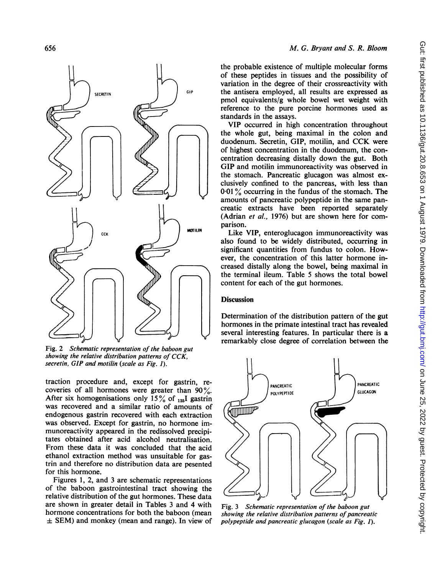

Fig. 2 Schematic representation of the baboon gut showing the relative distribution patterns of CCK, secretin, GIP and motilin (scale as Fig. 1).

traction procedure and, except for gastrin,  $re$ - PANCREATIC PANCREATIC PANCREATIC coveries of all hormones were greater than  $90\%$ .  $\Big\{ \Big\}$   $\Big\{ \Big\}$   $\Big\}$   $\Big\}$   $\Big\}$   $\Big\}$   $\Big\}$   $\Big\}$   $\Big\}$   $\Big\}$   $\Big\}$   $\Big\}$   $\Big\}$   $\Big\}$   $\Big\}$   $\Big\}$   $\Big\}$   $\Big\}$   $\Big\}$   $\Big\}$   $\Big\}$   $\Big\}$   $\Big\}$  After six homogenisations only 15% of  $_{125}$ I gastrin was recovered and a similar ratio of amounts of endogenous gastrin recovered with each extension endogenous gastrin recovered with each extraction was observed. Except for gastrin, no hormone immunoreactivity appeared in the redissolved precipitates obtained after acid alcohol neutralisation. From these data it was concluded that the acid ethanol extraction method was unsuitable for gastrin and therefore no distribution data are pesented for this hormone.

Figures 1, 2, and 3 are schematic representations of the baboon gastrointestinal tract showing the (4 relative distribution of the gut hormones. These data are shown in greater detail in Tables 3 and 4 with Fig. 3 Schematic representation of the baboon gut<br>hormone concentrations for both the baboon (mean showing the relative distribution patterns of pancrea  $\pm$  SEM) and monkey (mean and range). In view of *polypeptide and pancreatic glucagon* (scale as Fig. 1).

the probable existence of multiple molecular forms of these peptides in tissues and the possibility of variation in the degree of their crossreactivity with  $S_{\text{SFGETIN}}$   $\left\{\n\begin{array}{ccc}\n\text{GIP} & \text{the antisera employed, all results are expressed as}\n\end{array}\n\right\}$ pmol equivalents/g whole bowel wet weight with reference to the pure porcine hormones used as standards in the assays.

> VIP occurred in high concentration throughout the whole gut, being maximal in the colon and duodenum. Secretin, GIP, motilin, and CCK were of highest concentration in the duodenum, the concentration decreasing distally down the gut. Both GIP and motilin immunoreactivity was observed in the stomach. Pancreatic glucagon was almost exclusively confined to the pancreas, with less than 0.01 % occurring in the fundus of the stomach. The amounts of pancreatic polypeptide in the same pancreatic extracts have been reported separately (Adrian et al., 1976) but are shown here for comparison.

 $\begin{array}{c|c}\n\hline\n\text{CCK}\n\end{array}$  MOTILIN Like VIP, enteroglucagon immunoreactivity was also found to be widely distributed, occurring in significant quantities from fundus to colon. However, the concentration of this latter hormone increased distally along the bowel, being maximal in the terminal ileum. Table 5 shows the total bowel content for each of the gut hormones.

#### **Discussion**

Determination of the distribution pattern of the gut hormones in the primate intestinal tract has revealed several interesting features. In particular there is a remarkably close degree of correlation between the



showing the relative distribution patterns of pancreatic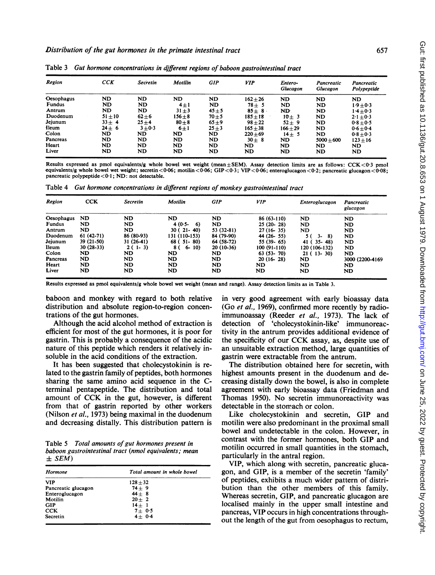| Region     | CCK         | <b>Secretin</b> | Motilin   | GIP        | VIP        | Entero-<br>Glucagon | Pancreatic<br>Glucagon | Pancreatic<br>Polypeptide |
|------------|-------------|-----------------|-----------|------------|------------|---------------------|------------------------|---------------------------|
| Oesophagus | ND          | <b>ND</b>       | ND.       | ND.        | $162 + 26$ | <b>ND</b>           | <b>ND</b>              | <b>ND</b>                 |
| Fundus     | ND          | ND              | $4\pm1$   | ND.        | $78 + 5$   | ND                  | ND                     | $1.9 + 0.3$               |
| Antrum     | ND          | ND.             | $31 + 3$  | $45 \pm 5$ | $85 + 8$   | $ND^-$              | <b>ND</b>              | $1.4 + 0.3$               |
| Duodenum   | $51 \pm 10$ | $62 + 6$        | $156 + 8$ | $70 + 5$   | $185 + 18$ | $10 + 3$            | ND                     | $2.1 + 0.3$               |
| Jejunum    | $33 \pm 4$  | $25 + 4$        | $80 + 8$  | $65+9$     | $98 + 22$  | $52 + 9$            | ND                     | $0.8 + 0.5$               |
| Ileum      | $24 \pm 6$  | $3 + 0.3$       | $6 \pm 1$ | $25\pm3$   | $165 + 38$ | $166 + 29$          | ND                     | $0.6 + 0.4$               |
| Colon      | ND          | ND.             | ND        | ND         | $220 + 69$ | $14 + 5$            | ND                     | $0.8 + 0.3$               |
| Pancreas   | ND          | ND              | ND        | ND         | $30 \pm 8$ | ND                  | $5000 + 600$           | $123 + 16$                |
| Heart      | ND          | ND.             | ND        | <b>ND</b>  | ND         | <b>ND</b>           | ND                     | <b>ND</b>                 |
| Liver      | ND          | ND              | ND        | ND         | ND         | ND                  | ND                     | <b>ND</b>                 |

Table 3 Gut hormone concentrations in different regions of baboon gastrointestinal tract

Results expressed as pmol equivalents/g whole bowel wet weight (mean $\pm$ SEM). Assay detection limits are as follows: CCK <0.3 pmol equivalents/g whole bowel wet weight; secretin<0.06; motilin<0.06; GIP<0.3; VIP<0.06; enteroglucagon<0.2; pancreatic glucagon<0.08; pancreatic polypeptide<0 1; ND: not detectable.

Table 4 Gut hormone concentrations in different regions of monkey gastrointestinal tract

| Region     | <b>CCK</b>  | <b>Secretin</b> | Motilin            | GIP         | VIP          | Enteroglucagon | Pancreatic<br>glucagon |
|------------|-------------|-----------------|--------------------|-------------|--------------|----------------|------------------------|
| Oesophagus | <b>ND</b>   | <b>ND</b>       | ND                 | ND.         | 86 (63-110)  | <b>ND</b>      | ND                     |
| Fundus     | ND          | ND              | $4(0.5 -$<br>-6)   | ND.         | $25(20-28)$  | ND.            | ND                     |
| Antrum     | ND          | ND              | $30(21-40)$        | $53(32-81)$ | $27(16-35)$  | ND.            | ND                     |
| Duodenum   | $61(42-71)$ | 86 (80-93)      | 131 (110-153)      | 84 (79-90)  | 44 (26 - 55) | $3 - 8$<br>5 ( | ND.                    |
| Jejunum    | 39 (21-50)  | $31(26-41)$     | $68$ ( $51 - 80$ ) | 64 (58-72)  | $55(39-65)$  | 41 (35 - 48)   | ND                     |
| Ileum      | $30(28-33)$ | $2(1-3)$        | 8 (<br>$6 - 10$    | $20(10-36)$ | 100 (91-110) | 120 (106-132)  | ND                     |
| Colon      | ND          | ND              | ND                 | ND.         | $63(53-70)$  | $21(13-30)$    | ND                     |
| Pancreas   | <b>ND</b>   | ND              | ND.                | ND.         | $20(16-28)$  | ND             | 3000 (2200-4169)       |
| Heart      | ND          | <b>ND</b>       | ND                 | ND.         | ND.          | ND.            | ND                     |
| Liver      | ND          | ND              | ND                 | <b>ND</b>   | <b>ND</b>    | ND             | ND                     |

Results expressed as pmol equivalents/g whole bowel wet weight (mean and range). Assay detection limits as in Table 3.

baboon and monkey with regard to both relative distribution and absolute region-to-region concentrations of the gut hormones.

Although the acid alcohol method of extraction is efficient for most of the gut hormones, it is poor for gastrin. This is probably a consequence of the acidic nature of this peptide which renders it relatively insoluble in the acid conditions of the extraction.

It has been suggested that cholecystokinin is related to the gastrin family of peptides, both hormones sharing the same amino acid sequence in the Cterminal pentapeptide. The distribution and total amount of CCK in the gut, however, is different from that of gastrin reported by other workers (Nilson et al., 1973) being maximal in the duodenum and decreasing distally. This distribution pattern is

Table 5 Total amounts of gut hormones present in baboon gastrointestinal tract (nmol equivalents; mean  $\pm$  SEM)

| Hormone             | Total amount in whole bowel |  |  |
|---------------------|-----------------------------|--|--|
| <b>VIP</b>          | $128 + 32$                  |  |  |
| Pancreatic glucagon | $74 + 9$                    |  |  |
| Enteroglucagon      | $44 + 8$                    |  |  |
| Motilin             | $20 + 2$                    |  |  |
| <b>GIP</b>          | $14 + 1$                    |  |  |
| <b>CCK</b>          | $7 + 0.5$                   |  |  |
| Secretin            | $4 + 0.4$                   |  |  |

in very good agreement with early bioassay data (Go et al., 1969), confirmed more recently by radioimmunoassay (Reeder et al., 1973). The lack of detection of 'cholecystokinin-like' immunoreactivity in the antrum provides additional evidence of the specificity of our CCK assay, as, despite use of an unsuitable extraction method, large quantities of gastrin were extractable from the antrum.

The distribution obtained here for secretin, with highest amounts present in the duodenum and decreasing distally down the bowel, is also in complete agreement with early bioassay data (Friedman and Thomas 1950). No secretin immunoreactivity was detectable in the stomach or colon.

Like cholecystokinin and secretin, GIP and motilin were also predominant in the proximal small bowel and undetectable in the colon. However, in contrast with the former hormones, both GIP and motilin occurred in small quantities in the stomach, particularly in the antral region.

VIP, which along with secretin, pancreatic glucagon, and GIP, is a member of the secretin 'family' of peptides, exhibits a much wider pattern of distribution than the other members of this family. Whereas secretin, GIP, and pancreatic glucagon are localised mainly in the upper small intestine and pancreas, VIP occurs in high concentrations throughout the length of the gut from oesophagus to rectum,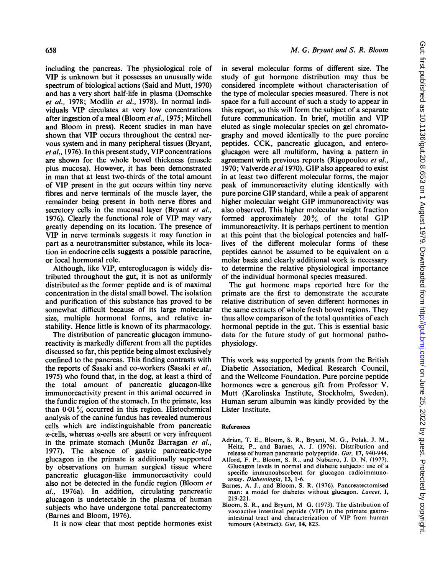including the pancreas. The physiological role of VIP is unknown but it possesses an unusually wide spectrum of biological actions (Said and Mutt, 1970) and has a very short half-life in plasma (Domschke et al., 1978; Modlin et al., 1978). In normal individuals VIP circulates at very low concentrations after ingestion of a meal (Bloom et al., 1975; Mitchell and Bloom in press). Recent studies in man have shown that VIP occurs throughout the central nervous system and in many peripheral tissues (Bryant, et al., 1976). In this present study, VIP concentrations are shown for the whole bowel thickness (muscle plus mucosa). However, it has been demonstrated in man that at least two-thirds of the total amount of VIP present in the gut occurs within tiny nerve fibres and nerve terminals of the muscle layer, the remainder being present in both nerve fibres and secretory cells in the mucosal layer (Bryant et al., 1976). Clearly the functional role of VIP may vary greatly depending on its location. The presence of VIP in nerve terminals suggests it may function in part as a neurotransmitter substance, while its location in endocrine cells suggests a possible paracrine, or local hormonal role.

Although, like VIP, enteroglucagon is widely distributed throughout the gut, it is not as uniformly distributed as the former peptide and is of maximal concentration in the distal small bowel. The isolation and purification of this substance has proved to be somewhat difficult because of its large molecular size, multiple hormonal forms, and relative instability. Hence little is known of its pharmacology.

The distribution of pancreatic glucagon immunoreactivity is markedly different from all the peptides discussed so far, this peptide being almost exclusively confined to the pancreas. This finding contrasts with the reports of Sasaki and co-workers (Sasaki et al., 1975) who found that, in the dog, at least a third of the total amount of pancreatic glucagon-like immunoreactivity present in this animal occurred in the fundic region of the stomach. In the primate, less than  $0.01\%$  occurred in this region. Histochemical analysis of the canine fundus has revealed numerous cells which are indistinguishable from pancreatic  $\alpha$ -cells, whereas  $\alpha$ -cells are absent or very infrequent in the primate stomach (Munoz Barragan et al., 1977). The absence of gastric pancreatic-type glucagon in the primate is additionally supported by observations on human surgical tissue where pancreatic glucagon-like immunoreactivity could also not be detected in the fundic region (Bloom et al., 1976a). In addition, circulating pancreatic glucagon is undetectable in the plasma of human subjects who have undergone total pancreatectomy (Barnes and Bloom, 1976).

It is now clear that most peptide hormones exist

in several molecular forms of different size. The study of gut hormone distribution may thus be considered incomplete without characterisation of the type of molecular species measured. There is not space for a full account of such a study to appear in this report, so this will form the subject of a separate future communication. In brief, motilin and VIP eluted as single molecular species on gel chromatography and moved identically to the pure porcine peptides. CCK, pancreatic glucagon, and enteroglucagon were all multiform, having a pattern in agreement with previous reports (Rigopoulou et al., 1970; Valverde et al 1970). GIP also appeared to exist in at least two different molecular forms, the major peak of immunoreactivity eluting identically with pure porcine GIP standard, while a peak of apparent higher molecular weight GIP immunoreactivity was also observed. This higher molecular weight fraction formed approximately  $20\%$  of the total GIP immunoreactivity. It is perhaps pertinent to mention at this point that the biological potencies and halflives of the different molecular forms of these peptides cannot be assumed to be equivalent on a molar basis and clearly additional work is necessary to determine the relative physiological importance of the individual hormonal species measured.

The gut hormone maps reported here for the primate are the first to demonstrate the accurate relative distribution of seven different hormones in the same extracts of whole fresh bowel regions. They thus allow comparison of the total quantities of each hormonal peptide in the gut. This is essential basic data for the future study of gut hormonal pathophysiology.

This work was supported by grants from the British Diabetic Association, Medical Research Council, and the Wellcome Foundation. Pure porcine peptide hormones were a generous gift from Professor V. Mutt (Karolinska Institute, Stockholm, Sweden). Human serum albumin was kindly provided by the Lister Institute.

## References

- Adrian, T. E., Bloom, S. R., Bryant, M. G., Polak, J. M., Heitz, P., and Barnes, A. J. (1976). Distribution and release of human pancreatic polypeptide. Gut, 17, 940-944.
- Alford, F. P., Bloom, S. R., and Nabarro, J. D. N. (1977). Glucagon levels in normal and diabetic subjects: use of a specific immunoabsorbent for glucagon radioimmunoassay. Diabetologia, 13, 1-6.
- Barnes, A. J., and Bloom, S. R. (1976). Pancreatectomised man: a model for diabetes without glucagon. Lancet, I, 219-221.
- Bloom, S. R., and Bryant, M G. (1973). The distribution of vasoactive intestinal peptide (VIP) in the primate gastrointestinal tract and characterization of VIP from human tumours (Abstract). Gut, 14, 823.